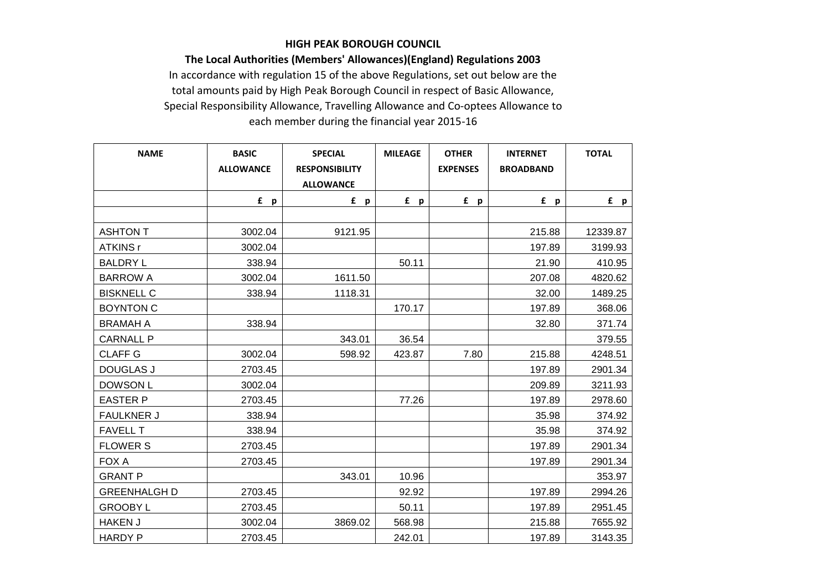## **HIGH PEAK BOROUGH COUNCIL**

**The Local Authorities (Members' Allowances)(England) Regulations 2003**

In accordance with regulation 15 of the above Regulations, set out below are the total amounts paid by High Peak Borough Council in respect of Basic Allowance, Special Responsibility Allowance, Travelling Allowance and Co-optees Allowance to each member during the financial year 2015-16

| <b>NAME</b>         | <b>BASIC</b><br><b>ALLOWANCE</b> | <b>SPECIAL</b><br><b>RESPONSIBILITY</b><br><b>ALLOWANCE</b> | <b>MILEAGE</b> | <b>OTHER</b><br><b>EXPENSES</b> | <b>INTERNET</b><br><b>BROADBAND</b> | <b>TOTAL</b> |
|---------------------|----------------------------------|-------------------------------------------------------------|----------------|---------------------------------|-------------------------------------|--------------|
|                     | £ p                              | f p                                                         | f p            | f p                             | f p                                 | f p          |
|                     |                                  |                                                             |                |                                 |                                     |              |
| ASHTON T            | 3002.04                          | 9121.95                                                     |                |                                 | 215.88                              | 12339.87     |
| ATKINS r            | 3002.04                          |                                                             |                |                                 | 197.89                              | 3199.93      |
| <b>BALDRY L</b>     | 338.94                           |                                                             | 50.11          |                                 | 21.90                               | 410.95       |
| <b>BARROW A</b>     | 3002.04                          | 1611.50                                                     |                |                                 | 207.08                              | 4820.62      |
| <b>BISKNELL C</b>   | 338.94                           | 1118.31                                                     |                |                                 | 32.00                               | 1489.25      |
| <b>BOYNTON C</b>    |                                  |                                                             | 170.17         |                                 | 197.89                              | 368.06       |
| <b>BRAMAH A</b>     | 338.94                           |                                                             |                |                                 | 32.80                               | 371.74       |
| <b>CARNALL P</b>    |                                  | 343.01                                                      | 36.54          |                                 |                                     | 379.55       |
| <b>CLAFF G</b>      | 3002.04                          | 598.92                                                      | 423.87         | 7.80                            | 215.88                              | 4248.51      |
| <b>DOUGLAS J</b>    | 2703.45                          |                                                             |                |                                 | 197.89                              | 2901.34      |
| DOWSON L            | 3002.04                          |                                                             |                |                                 | 209.89                              | 3211.93      |
| <b>EASTER P</b>     | 2703.45                          |                                                             | 77.26          |                                 | 197.89                              | 2978.60      |
| <b>FAULKNER J</b>   | 338.94                           |                                                             |                |                                 | 35.98                               | 374.92       |
| <b>FAVELL T</b>     | 338.94                           |                                                             |                |                                 | 35.98                               | 374.92       |
| <b>FLOWER S</b>     | 2703.45                          |                                                             |                |                                 | 197.89                              | 2901.34      |
| FOX A               | 2703.45                          |                                                             |                |                                 | 197.89                              | 2901.34      |
| <b>GRANT P</b>      |                                  | 343.01                                                      | 10.96          |                                 |                                     | 353.97       |
| <b>GREENHALGH D</b> | 2703.45                          |                                                             | 92.92          |                                 | 197.89                              | 2994.26      |
| <b>GROOBY L</b>     | 2703.45                          |                                                             | 50.11          |                                 | 197.89                              | 2951.45      |
| <b>HAKEN J</b>      | 3002.04                          | 3869.02                                                     | 568.98         |                                 | 215.88                              | 7655.92      |
| <b>HARDY P</b>      | 2703.45                          |                                                             | 242.01         |                                 | 197.89                              | 3143.35      |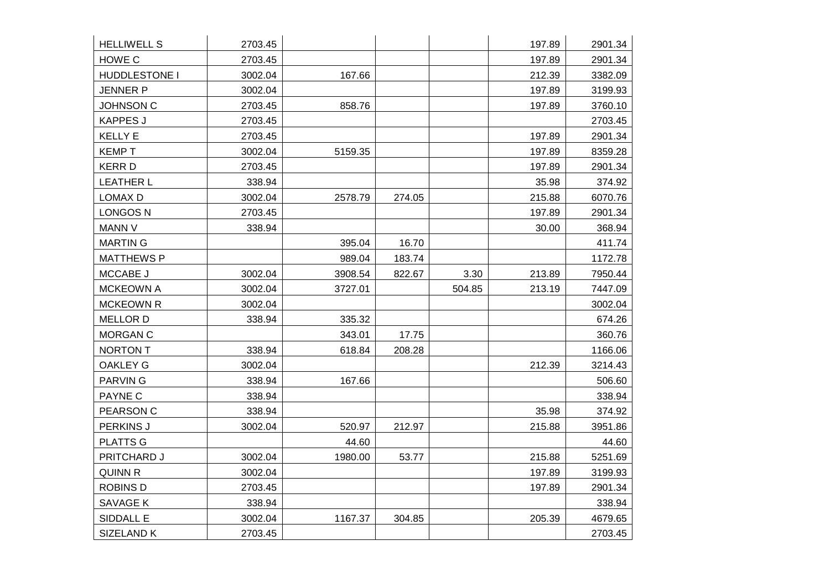| <b>HELLIWELL S</b>   | 2703.45 |         |        |        | 197.89 | 2901.34 |
|----------------------|---------|---------|--------|--------|--------|---------|
| HOWE C               | 2703.45 |         |        |        | 197.89 | 2901.34 |
| <b>HUDDLESTONE I</b> | 3002.04 | 167.66  |        |        | 212.39 | 3382.09 |
| <b>JENNER P</b>      | 3002.04 |         |        |        | 197.89 | 3199.93 |
| <b>JOHNSON C</b>     | 2703.45 | 858.76  |        |        | 197.89 | 3760.10 |
| <b>KAPPES J</b>      | 2703.45 |         |        |        |        | 2703.45 |
| <b>KELLY E</b>       | 2703.45 |         |        |        | 197.89 | 2901.34 |
| <b>KEMPT</b>         | 3002.04 | 5159.35 |        |        | 197.89 | 8359.28 |
| <b>KERRD</b>         | 2703.45 |         |        |        | 197.89 | 2901.34 |
| <b>LEATHER L</b>     | 338.94  |         |        |        | 35.98  | 374.92  |
| LOMAX D              | 3002.04 | 2578.79 | 274.05 |        | 215.88 | 6070.76 |
| <b>LONGOS N</b>      | 2703.45 |         |        |        | 197.89 | 2901.34 |
| MANN V               | 338.94  |         |        |        | 30.00  | 368.94  |
| <b>MARTIN G</b>      |         | 395.04  | 16.70  |        |        | 411.74  |
| <b>MATTHEWS P</b>    |         | 989.04  | 183.74 |        |        | 1172.78 |
| MCCABE J             | 3002.04 | 3908.54 | 822.67 | 3.30   | 213.89 | 7950.44 |
| <b>MCKEOWN A</b>     | 3002.04 | 3727.01 |        | 504.85 | 213.19 | 7447.09 |
| <b>MCKEOWN R</b>     | 3002.04 |         |        |        |        | 3002.04 |
| <b>MELLOR D</b>      | 338.94  | 335.32  |        |        |        | 674.26  |
| MORGAN C             |         | 343.01  | 17.75  |        |        | 360.76  |
| NORTON T             | 338.94  | 618.84  | 208.28 |        |        | 1166.06 |
| <b>OAKLEY G</b>      | 3002.04 |         |        |        | 212.39 | 3214.43 |
| <b>PARVING</b>       | 338.94  | 167.66  |        |        |        | 506.60  |
| PAYNE C              | 338.94  |         |        |        |        | 338.94  |
| PEARSON C            | 338.94  |         |        |        | 35.98  | 374.92  |
| PERKINS J            | 3002.04 | 520.97  | 212.97 |        | 215.88 | 3951.86 |
| <b>PLATTS G</b>      |         | 44.60   |        |        |        | 44.60   |
| PRITCHARD J          | 3002.04 | 1980.00 | 53.77  |        | 215.88 | 5251.69 |
| <b>QUINN R</b>       | 3002.04 |         |        |        | 197.89 | 3199.93 |
| <b>ROBINS D</b>      | 2703.45 |         |        |        | 197.89 | 2901.34 |
| SAVAGE K             | 338.94  |         |        |        |        | 338.94  |
| SIDDALL E            | 3002.04 | 1167.37 | 304.85 |        | 205.39 | 4679.65 |
| SIZELAND K           | 2703.45 |         |        |        |        | 2703.45 |